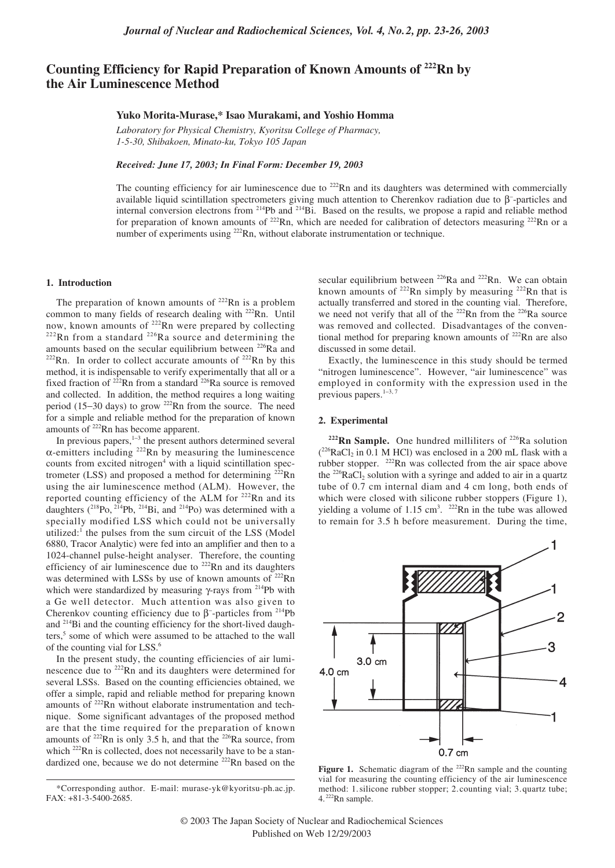# **Counting Efficiency for Rapid Preparation of Known Amounts of 222Rn by the Air Luminescence Method**

## **Yuko Morita-Murase,\* Isao Murakami, and Yoshio Homma**

*Laboratory for Physical Chemistry, Kyoritsu College of Pharmacy, 1-5-30, Shibakoen, Minato-ku, Tokyo 105 Japan*

*Received: June 17, 2003; In Final Form: December 19, 2003*

The counting efficiency for air luminescence due to  $^{222}Rn$  and its daughters was determined with commercially available liquid scintillation spectrometers giving much attention to Cherenkov radiation due to  $β$ -particles and internal conversion electrons from 214Pb and 214Bi. Based on the results, we propose a rapid and reliable method for preparation of known amounts of <sup>222</sup>Rn, which are needed for calibration of detectors measuring <sup>222</sup>Rn or a number of experiments using <sup>222</sup>Rn, without elaborate instrumentation or technique.

### **1. Introduction**

The preparation of known amounts of  $222$ Rn is a problem common to many fields of research dealing with <sup>222</sup>Rn. Until now, known amounts of <sup>222</sup>Rn were prepared by collecting  $222$ Rn from a standard  $226$ Ra source and determining the amounts based on the secular equilibrium between  $^{226}$ Ra and  $222$ Rn. In order to collect accurate amounts of  $222$ Rn by this method, it is indispensable to verify experimentally that all or a fixed fraction of 222Rn from a standard 226Ra source is removed and collected. In addition, the method requires a long waiting period (15−30 days) to grow 222Rn from the source. The need for a simple and reliable method for the preparation of known amounts of 222Rn has become apparent.

In previous papers,1−<sup>3</sup> the present authors determined several α-emitters including 222Rn by measuring the luminescence counts from excited nitrogen $4$  with a liquid scintillation spectrometer (LSS) and proposed a method for determining 222Rn using the air luminescence method (ALM). However, the reported counting efficiency of the ALM for <sup>222</sup>Rn and its daughters  $(^{218}Po, ^{214}Pb, ^{214}Bi,$  and  $^{214}Po)$  was determined with a specially modified LSS which could not be universally utilized: $<sup>1</sup>$  the pulses from the sum circuit of the LSS (Model</sup> 6880, Tracor Analytic) were fed into an amplifier and then to a 1024-channel pulse-height analyser. Therefore, the counting efficiency of air luminescence due to  $222$ Rn and its daughters was determined with LSSs by use of known amounts of <sup>222</sup>Rn which were standardized by measuring γ-rays from <sup>214</sup>Pb with a Ge well detector. Much attention was also given to Cherenkov counting efficiency due to  $\beta$ <sup>-</sup>-particles from <sup>214</sup>Pb and 214Bi and the counting efficiency for the short-lived daughters,<sup>5</sup> some of which were assumed to be attached to the wall of the counting vial for LSS.<sup>6</sup>

In the present study, the counting efficiencies of air luminescence due to 222Rn and its daughters were determined for several LSSs. Based on the counting efficiencies obtained, we offer a simple, rapid and reliable method for preparing known amounts of 222Rn without elaborate instrumentation and technique. Some significant advantages of the proposed method are that the time required for the preparation of known amounts of 222Rn is only 3.5 h, and that the 226Ra source, from which <sup>222</sup>Rn is collected, does not necessarily have to be a standardized one, because we do not determine <sup>222</sup>Rn based on the secular equilibrium between  $226Ra$  and  $222Rn$ . We can obtain known amounts of  $^{222}$ Rn simply by measuring  $^{222}$ Rn that is actually transferred and stored in the counting vial. Therefore, we need not verify that all of the  $222$ Rn from the  $226$ Ra source was removed and collected. Disadvantages of the conventional method for preparing known amounts of <sup>222</sup>Rn are also discussed in some detail.

Exactly, the luminescence in this study should be termed "nitrogen luminescence". However, "air luminescence" was employed in conformity with the expression used in the previous papers.<sup>1-3, 7</sup>

#### **2. Experimental**

 $222$ **Rn Sample.** One hundred milliliters of  $226$ **Ra** solution  $(^{226}$ RaCl<sub>2</sub> in 0.1 M HCl) was enclosed in a 200 mL flask with a rubber stopper. 222Rn was collected from the air space above the <sup>226</sup>RaCl<sub>2</sub> solution with a syringe and added to air in a quartz tube of 0.7 cm internal diam and 4 cm long, both ends of which were closed with silicone rubber stoppers (Figure 1), yielding a volume of  $1.15 \text{ cm}^3$ .  $^{222}$ Rn in the tube was allowed to remain for 3.5 h before measurement. During the time,



Figure 1. Schematic diagram of the <sup>222</sup>Rn sample and the counting vial for measuring the counting efficiency of the air luminescence method: 1.silicone rubber stopper; 2.counting vial; 3.quartz tube; 4. 222Rn sample.

<sup>\*</sup>Corresponding author. E-mail: murase-yk@kyoritsu-ph.ac.jp. FAX: +81-3-5400-2685.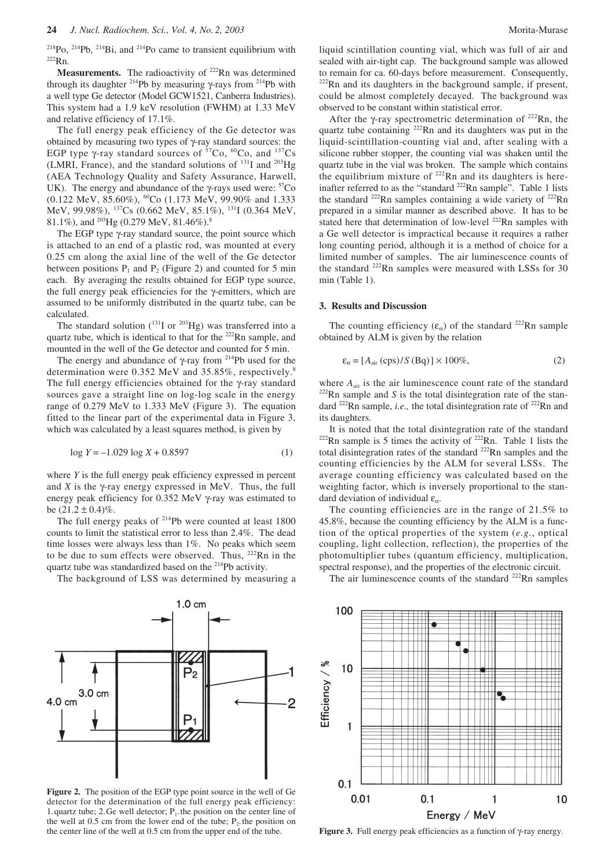$^{218}P_0$ ,  $^{214}P_0$ ,  $^{214}Bi$ , and  $^{214}P_0$  came to transient equilibrium with 222Rn.

**Measurements.** The radioactivity of <sup>222</sup>Rn was determined through its daughter <sup>214</sup>Pb by measuring γ-rays from <sup>214</sup>Pb with a well type Ge detector (Model GCW1521, Canberra Industries). This system had a 1.9 keV resolution (FWHM) at 1.33 MeV and relative efficiency of 17.1%.

The full energy peak efficiency of the Ge detector was obtained by measuring two types of γ-ray standard sources: the EGP type  $\gamma$ -ray standard sources of  ${}^{57}Co, {}^{60}Co$ , and  ${}^{137}Cs$ (LMRI, France), and the standard solutions of  $^{131}$ I and  $^{203}$ Hg (AEA Technology Quality and Safety Assurance, Harwell, UK). The energy and abundance of the  $\gamma$ -rays used were: <sup>57</sup>Co  $(0.122 \text{ MeV}, 85.60\%)$ ,  $^{60}$ Co  $(1.173 \text{ MeV}, 99.90\%$  and 1.333 MeV, 99.98%), 137Cs (0.662 MeV, 85.1%), 131I (0.364 MeV, 81.1%), and  $^{203}$ Hg (0.279 MeV, 81.46%).<sup>8</sup>

The EGP type γ-ray standard source, the point source which is attached to an end of a plastic rod, was mounted at every 0.25 cm along the axial line of the well of the Ge detector between positions  $P_1$  and  $P_2$  (Figure 2) and counted for 5 min each. By averaging the results obtained for EGP type source, the full energy peak efficiencies for the γ-emitters, which are assumed to be uniformly distributed in the quartz tube, can be calculated.

The standard solution  $(^{131}I$  or  $^{203}Hg)$  was transferred into a quartz tube, which is identical to that for the <sup>222</sup>Rn sample, and mounted in the well of the Ge detector and counted for 5 min.

The energy and abundance of γ-ray from 214Pb used for the determination were 0.352 MeV and 35.85%, respectively.<sup>8</sup> The full energy efficiencies obtained for the γ-ray standard sources gave a straight line on log-log scale in the energy range of 0.279 MeV to 1.333 MeV (Figure 3). The equation fitted to the linear part of the experimental data in Figure 3, which was calculated by a least squares method, is given by

$$
\log Y = -1.029 \log X + 0.8597\tag{1}
$$

where *Y* is the full energy peak efficiency expressed in percent and  $\overline{X}$  is the  $\gamma$ -ray energy expressed in MeV. Thus, the full energy peak efficiency for 0.352 MeV γ-ray was estimated to be  $(21.2 \pm 0.4)\%$ .

The full energy peaks of  $214$ Pb were counted at least 1800 counts to limit the statistical error to less than 2.4%. The dead time losses were always less than 1%. No peaks which seem to be due to sum effects were observed. Thus,  $^{222}$ Rn in the quartz tube was standardized based on the 214Pb activity.

The background of LSS was determined by measuring a



**Figure 2.** The position of the EGP type point source in the well of Ge detector for the determination of the full energy peak efficiency: 1. quartz tube; 2. Ge well detector;  $P_1$ , the position on the center line of the well at  $0.5$  cm from the lower end of the tube;  $P_2$ , the position on the center line of the well at 0.5 cm from the upper end of the tube.

liquid scintillation counting vial, which was full of air and sealed with air-tight cap. The background sample was allowed to remain for ca. 60-days before measurement. Consequently,  $222$ Rn and its daughters in the background sample, if present, could be almost completely decayed. The background was observed to be constant within statistical error.

After the γ-ray spectrometric determination of  $^{222}$ Rn, the quartz tube containing <sup>222</sup>Rn and its daughters was put in the liquid-scintillation-counting vial and, after sealing with a silicone rubber stopper, the counting vial was shaken until the quartz tube in the vial was broken. The sample which contains the equilibrium mixture of  $^{222}$ Rn and its daughters is hereinafter referred to as the "standard  $222$ Rn sample". Table 1 lists the standard  $^{222}$ Rn samples containing a wide variety of  $^{222}$ Rn prepared in a similar manner as described above. It has to be stated here that determination of low-level <sup>222</sup>Rn samples with a Ge well detector is impractical because it requires a rather long counting period, although it is a method of choice for a limited number of samples. The air luminescence counts of the standard <sup>222</sup>Rn samples were measured with LSSs for 30 min (Table 1).

#### **3. Results and Discussion**

The counting efficiency ( $\varepsilon_{\alpha}$ ) of the standard <sup>222</sup>Rn sample obtained by ALM is given by the relation

$$
\varepsilon_{\alpha} = [A_{\text{air}}(\text{cps})/S(\text{Bq})] \times 100\%,\tag{2}
$$

where  $A_{air}$  is the air luminescence count rate of the standard  $222$ Rn sample and *S* is the total disintegration rate of the standard <sup>222</sup>Rn sample, *i.e.*, the total disintegration rate of <sup>222</sup>Rn and its daughters.

It is noted that the total disintegration rate of the standard  $222$ Rn sample is 5 times the activity of  $222$ Rn. Table 1 lists the total disintegration rates of the standard 222Rn samples and the counting efficiencies by the ALM for several LSSs. The average counting efficiency was calculated based on the weighting factor, which is inversely proportional to the standard deviation of individual  $\varepsilon_{\alpha}$ .

The counting efficiencies are in the range of 21.5% to 45.8%, because the counting efficiency by the ALM is a function of the optical properties of the system (*e.g.*, optical coupling, light collection, reflection), the properties of the photomultiplier tubes (quantum efficiency, multiplication, spectral response), and the properties of the electronic circuit.

The air luminescence counts of the standard  $^{222}$ Rn samples



**Figure 3.** Full energy peak efficiencies as a function of γ-ray energy.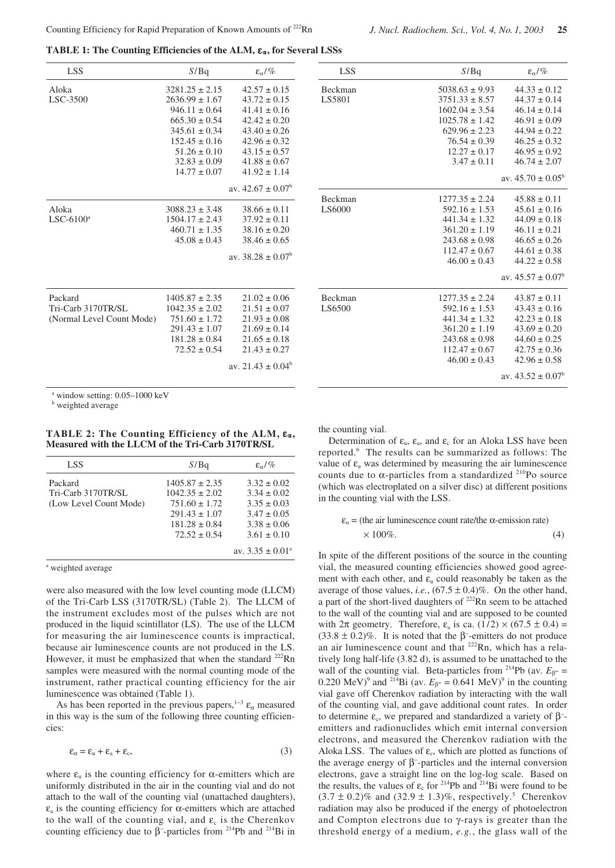**TABLE 1: The Counting Efficiencies of the ALM,**  $\varepsilon_{\alpha}$ **, for Several LSSs** 

| <b>LSS</b>                                                          | S/Bq               | $\epsilon_{\alpha}/\%$ | <b>LSS</b> | S/Bq               | $\epsilon_{\alpha}/\%$ |
|---------------------------------------------------------------------|--------------------|------------------------|------------|--------------------|------------------------|
| Aloka                                                               | $3281.25 \pm 2.15$ | $42.57 \pm 0.15$       | Beckman    | $5038.63 \pm 9.93$ | $44.33 \pm 0.12$       |
| LSC-3500                                                            | $2636.99 \pm 1.67$ | $43.72 \pm 0.15$       | LS5801     | $3751.33 \pm 8.57$ | $44.37 \pm 0.14$       |
|                                                                     | $946.11 \pm 0.64$  | $41.41 \pm 0.16$       |            | $1602.04 \pm 3.54$ | $46.14 \pm 0.14$       |
|                                                                     | $665.30 \pm 0.54$  | $42.42 \pm 0.20$       |            | $1025.78 \pm 1.42$ | $46.91 \pm 0.09$       |
|                                                                     | $345.61 \pm 0.34$  | $43.40 \pm 0.26$       |            | $629.96 \pm 2.23$  | $44.94 \pm 0.22$       |
|                                                                     | $152.45 \pm 0.16$  | $42.96 \pm 0.32$       |            | $76.54 \pm 0.39$   | $46.25 \pm 0.32$       |
|                                                                     | $51.26 \pm 0.10$   | $43.15 \pm 0.57$       |            | $12.27 \pm 0.17$   | $46.95 \pm 0.92$       |
|                                                                     | $32.83 \pm 0.09$   | $41.88 \pm 0.67$       |            | $3.47 \pm 0.11$    | $46.74 \pm 2.07$       |
|                                                                     | $14.77 \pm 0.07$   | $41.92 \pm 1.14$       |            |                    |                        |
|                                                                     |                    |                        |            |                    | av. $45.70 \pm 0.05^b$ |
|                                                                     |                    | av. $42.67 \pm 0.07^b$ | Beckman    | $1277.35 \pm 2.24$ | $45.88 \pm 0.11$       |
| Aloka                                                               | $3088.23 \pm 3.48$ | $38.66 \pm 0.11$       | LS6000     | $592.16 \pm 1.53$  | $45.61 \pm 0.16$       |
| $LSC-6100^a$                                                        | $1504.17 \pm 2.43$ | $37.92 \pm 0.11$       |            | $441.34 \pm 1.32$  | $44.09 \pm 0.18$       |
|                                                                     | $460.71 \pm 1.35$  | $38.16 \pm 0.20$       |            | $361.20 \pm 1.19$  | $46.11 \pm 0.21$       |
|                                                                     | $45.08 \pm 0.43$   | $38.46 \pm 0.65$       |            | $243.68 \pm 0.98$  | $46.65 \pm 0.26$       |
|                                                                     |                    |                        |            | $112.47 \pm 0.67$  | $44.61 \pm 0.38$       |
|                                                                     |                    | av. $38.28 \pm 0.07^b$ |            | $46.00 \pm 0.43$   | $44.22 \pm 0.58$       |
|                                                                     |                    |                        |            |                    | av. $45.57 \pm 0.07^b$ |
| Packard                                                             | $1405.87 \pm 2.35$ | $21.02 \pm 0.06$       | Beckman    | $1277.35 \pm 2.24$ | $43.87 \pm 0.11$       |
| Tri-Carb 3170TR/SL                                                  | $1042.35 \pm 2.02$ | $21.51 \pm 0.07$       | LS6500     | $592.16 \pm 1.53$  | $43.43 \pm 0.16$       |
| (Normal Level Count Mode)                                           | $751.60 \pm 1.72$  | $21.93 \pm 0.08$       |            | $441.34 \pm 1.32$  | $42.23 \pm 0.18$       |
|                                                                     | $291.43 \pm 1.07$  | $21.69 \pm 0.14$       |            | $361.20 \pm 1.19$  | $43.69 \pm 0.20$       |
|                                                                     | $181.28 \pm 0.84$  | $21.65 \pm 0.18$       |            | $243.68 \pm 0.98$  | $44.60 \pm 0.25$       |
|                                                                     | $72.52 \pm 0.54$   | $21.43 \pm 0.27$       |            | $112.47 \pm 0.67$  | $42.75 \pm 0.36$       |
|                                                                     |                    | av. $21.43 \pm 0.04^b$ |            | $46.00 \pm 0.43$   | $42.96 \pm 0.58$       |
|                                                                     |                    |                        |            |                    | av. $43.52 \pm 0.07^b$ |
| $\overline{a}$ $\overline{a}$ $\overline{a}$<br>$0.05 - 10001 - 37$ |                    |                        |            |                    |                        |

window setting: 0.05-1000 keV

**b** weighted average

**TABLE 2: The Counting Efficiency of the ALM,**  $\varepsilon_{\alpha}$ **, Measured with the LLCM of the Tri-Carb 3170TR/SL**

| LSS.                                                    | S/Bq                                                                               | $\epsilon_{\alpha}/\%$                                                   |
|---------------------------------------------------------|------------------------------------------------------------------------------------|--------------------------------------------------------------------------|
| Packard<br>Tri-Carb 3170TR/SL<br>(Low Level Count Mode) | $1405.87 \pm 2.35$<br>$1042.35 \pm 2.02$<br>$751.60 \pm 1.72$<br>$291.43 \pm 1.07$ | $3.32 \pm 0.02$<br>$3.34 \pm 0.02$<br>$3.35 \pm 0.03$<br>$3.47 \pm 0.05$ |
|                                                         | $181.28 \pm 0.84$<br>$72.52 \pm 0.54$                                              | $3.38 \pm 0.06$<br>$3.61 \pm 0.10$<br>av. $3.35 \pm 0.01^{\circ}$        |

<sup>a</sup> weighted average

were also measured with the low level counting mode (LLCM) of the Tri-Carb LSS (3170TR/SL) (Table 2). The LLCM of the instrument excludes most of the pulses which are not produced in the liquid scintillator (LS). The use of the LLCM for measuring the air luminescence counts is impractical, because air luminescence counts are not produced in the LS. However, it must be emphasized that when the standard  $^{222}$ Rn samples were measured with the normal counting mode of the instrument, rather practical counting efficiency for the air luminescence was obtained (Table 1).

As has been reported in the previous papers,<sup>1-3</sup>  $\varepsilon_{\alpha}$  measured in this way is the sum of the following three counting efficiencies:

$$
\varepsilon_{\alpha} = \varepsilon_{\alpha} + \varepsilon_{\alpha} + \varepsilon_{c},\tag{3}
$$

where  $\varepsilon_u$  is the counting efficiency for  $\alpha$ -emitters which are uniformly distributed in the air in the counting vial and do not attach to the wall of the counting vial (unattached daughters),  $\varepsilon_a$  is the counting efficiency for  $\alpha$ -emitters which are attached to the wall of the counting vial, and  $\varepsilon_c$  is the Cherenkov counting efficiency due to  $β$ <sup>-</sup>-particles from <sup>214</sup>Pb and <sup>214</sup>Bi in

the counting vial.

Determination of  $\varepsilon_{\rm u}$ ,  $\varepsilon_{\rm a}$ , and  $\varepsilon_{\rm c}$  for an Aloka LSS have been reported.6 The results can be summarized as follows: The value of  $\varepsilon$ <sub>u</sub> was determined by measuring the air luminescence counts due to  $\alpha$ -particles from a standardized <sup>210</sup>Po source (which was electroplated on a silver disc) at different positions in the counting vial with the LSS.

$$
\varepsilon_{u} = \text{(the air luminescence count rate/the } \alpha\text{-emission rate)} \times 100\% . \tag{4}
$$

In spite of the different positions of the source in the counting vial, the measured counting efficiencies showed good agreement with each other, and  $\varepsilon_{\rm u}$  could reasonably be taken as the average of those values, *i.e.*,  $(67.5 \pm 0.4)\%$ . On the other hand, a part of the short-lived daughters of 222Rn seem to be attached to the wall of the counting vial and are supposed to be counted with  $2\pi$  geometry. Therefore,  $\varepsilon_a$  is ca.  $(1/2) \times (67.5 \pm 0.4)$ (33.8  $\pm$  0.2)%. It is noted that the  $\beta$ <sup>-</sup>-emitters do not produce an air luminescence count and that 222Rn, which has a relatively long half-life (3.82 d), is assumed to be unattached to the wall of the counting vial. Beta-particles from <sup>214</sup>Pb (av.  $E_{\beta}$  = 0.220 MeV)<sup>9</sup> and <sup>214</sup>Bi (av.  $E_{\beta}$ - = 0.641 MeV)<sup>9</sup> in the counting vial gave off Cherenkov radiation by interacting with the wall of the counting vial, and gave additional count rates. In order to determine  $\varepsilon_c$ , we prepared and standardized a variety of  $\beta$ <sup>-</sup> emitters and radionuclides which emit internal conversion electrons, and measured the Cherenkov radiation with the Aloka LSS. The values of  $\varepsilon_c$ , which are plotted as functions of the average energy of β<sup>-</sup>-particles and the internal conversion electrons, gave a straight line on the log-log scale. Based on the results, the values of  $\varepsilon_c$  for <sup>214</sup>Pb and <sup>214</sup>Bi were found to be  $(3.7 \pm 0.2)\%$  and  $(32.9 \pm 1.3)\%$ , respectively.<sup>5</sup> Cherenkov radiation may also be produced if the energy of photoelectron and Compton electrons due to γ-rays is greater than the threshold energy of a medium, *e.g.*, the glass wall of the